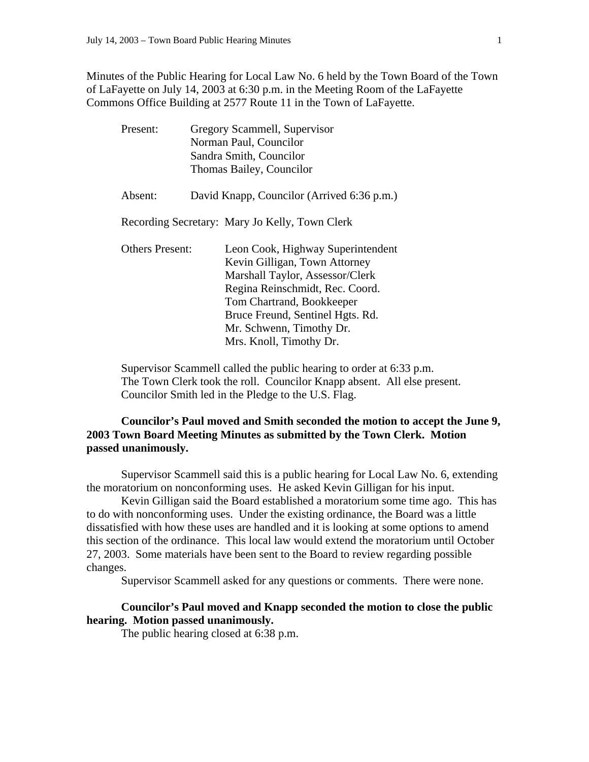Minutes of the Public Hearing for Local Law No. 6 held by the Town Board of the Town of LaFayette on July 14, 2003 at 6:30 p.m. in the Meeting Room of the LaFayette Commons Office Building at 2577 Route 11 in the Town of LaFayette.

|  | Present:                                       |                         | Gregory Scammell, Supervisor               |
|--|------------------------------------------------|-------------------------|--------------------------------------------|
|  | Norman Paul, Councilor                         |                         |                                            |
|  |                                                | Sandra Smith, Councilor |                                            |
|  |                                                |                         | Thomas Bailey, Councilor                   |
|  | Absent:                                        |                         | David Knapp, Councilor (Arrived 6:36 p.m.) |
|  | Recording Secretary: Mary Jo Kelly, Town Clerk |                         |                                            |
|  | <b>Others Present:</b>                         |                         | Leon Cook, Highway Superintendent          |
|  |                                                |                         | Kevin Gilligan, Town Attorney              |
|  |                                                |                         | Marshall Taylor, Assessor/Clerk            |
|  |                                                |                         | Regina Reinschmidt, Rec. Coord.            |
|  |                                                |                         | Tom Chartrand, Bookkeeper                  |
|  |                                                |                         | Bruce Freund, Sentinel Hgts. Rd.           |
|  |                                                |                         | Mr. Schwenn, Timothy Dr.                   |
|  |                                                |                         | Mrs. Knoll, Timothy Dr.                    |

 Supervisor Scammell called the public hearing to order at 6:33 p.m. The Town Clerk took the roll. Councilor Knapp absent. All else present. Councilor Smith led in the Pledge to the U.S. Flag.

## **Councilor's Paul moved and Smith seconded the motion to accept the June 9, 2003 Town Board Meeting Minutes as submitted by the Town Clerk. Motion passed unanimously.**

 Supervisor Scammell said this is a public hearing for Local Law No. 6, extending the moratorium on nonconforming uses. He asked Kevin Gilligan for his input.

 Kevin Gilligan said the Board established a moratorium some time ago. This has to do with nonconforming uses. Under the existing ordinance, the Board was a little dissatisfied with how these uses are handled and it is looking at some options to amend this section of the ordinance. This local law would extend the moratorium until October 27, 2003. Some materials have been sent to the Board to review regarding possible changes.

Supervisor Scammell asked for any questions or comments. There were none.

## **Councilor's Paul moved and Knapp seconded the motion to close the public hearing. Motion passed unanimously.**

The public hearing closed at 6:38 p.m.